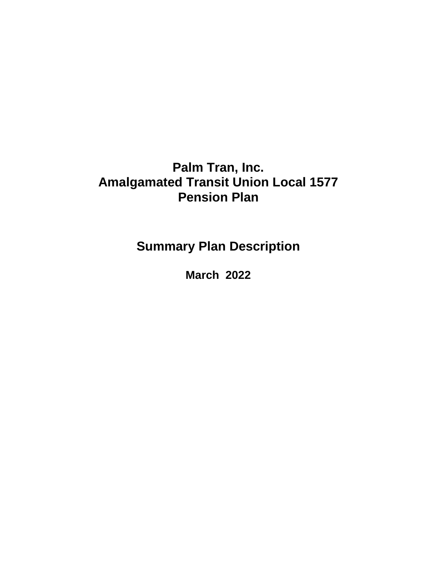# **Palm Tran, Inc. Amalgamated Transit Union Local 1577 Pension Plan**

**Summary Plan Description**

**March 2022**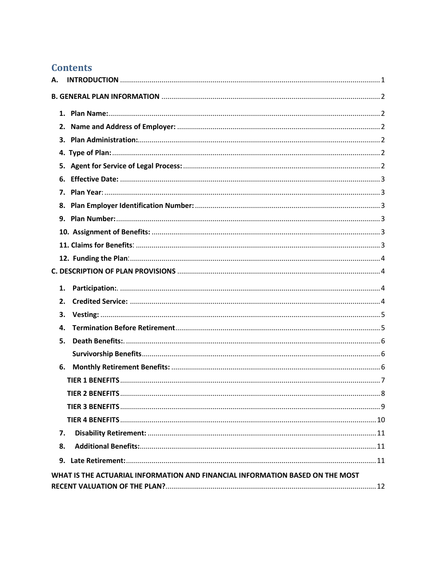# **Contents**

| А. |                                                                               |  |
|----|-------------------------------------------------------------------------------|--|
|    |                                                                               |  |
|    |                                                                               |  |
|    |                                                                               |  |
|    |                                                                               |  |
|    |                                                                               |  |
|    |                                                                               |  |
|    |                                                                               |  |
|    |                                                                               |  |
|    |                                                                               |  |
|    |                                                                               |  |
|    |                                                                               |  |
|    |                                                                               |  |
|    |                                                                               |  |
|    |                                                                               |  |
| 1. |                                                                               |  |
| 2. |                                                                               |  |
| 3. |                                                                               |  |
| 4. |                                                                               |  |
| 5. |                                                                               |  |
|    |                                                                               |  |
|    |                                                                               |  |
|    |                                                                               |  |
|    | <b>TIER 2 BENEFITS</b>                                                        |  |
|    |                                                                               |  |
|    |                                                                               |  |
| 7. |                                                                               |  |
| 8. |                                                                               |  |
|    |                                                                               |  |
|    | WHAT IS THE ACTUARIAL INFORMATION AND FINANCIAL INFORMATION BASED ON THE MOST |  |
|    |                                                                               |  |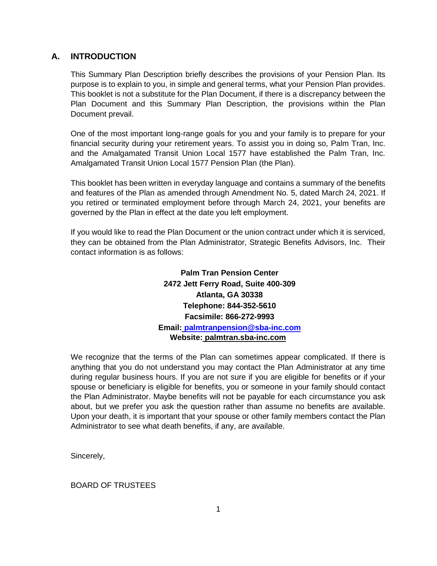# <span id="page-2-0"></span>**A. INTRODUCTION**

This Summary Plan Description briefly describes the provisions of your Pension Plan. Its purpose is to explain to you, in simple and general terms, what your Pension Plan provides. This booklet is not a substitute for the Plan Document, if there is a discrepancy between the Plan Document and this Summary Plan Description, the provisions within the Plan Document prevail.

One of the most important long-range goals for you and your family is to prepare for your financial security during your retirement years. To assist you in doing so, Palm Tran, Inc. and the Amalgamated Transit Union Local 1577 have established the Palm Tran, Inc. Amalgamated Transit Union Local 1577 Pension Plan (the Plan).

This booklet has been written in everyday language and contains a summary of the benefits and features of the Plan as amended through Amendment No. 5, dated March 24, 2021. If you retired or terminated employment before through March 24, 2021, your benefits are governed by the Plan in effect at the date you left employment.

If you would like to read the Plan Document or the union contract under which it is serviced, they can be obtained from the Plan Administrator, Strategic Benefits Advisors, Inc. Their contact information is as follows:

> **Palm Tran Pension Center 2472 Jett Ferry Road, Suite 400-309 Atlanta, GA 30338 Telephone: 844-352-5610 Facsimile: 866-272-9993 Email: [palmtranpension@sba-inc.com](mailto:palmtranpension@sba-inc.com) Website: palmtran.sba-inc.com**

We recognize that the terms of the Plan can sometimes appear complicated. If there is anything that you do not understand you may contact the Plan Administrator at any time during regular business hours. If you are not sure if you are eligible for benefits or if your spouse or beneficiary is eligible for benefits, you or someone in your family should contact the Plan Administrator. Maybe benefits will not be payable for each circumstance you ask about, but we prefer you ask the question rather than assume no benefits are available. Upon your death, it is important that your spouse or other family members contact the Plan Administrator to see what death benefits, if any, are available.

Sincerely,

BOARD OF TRUSTEES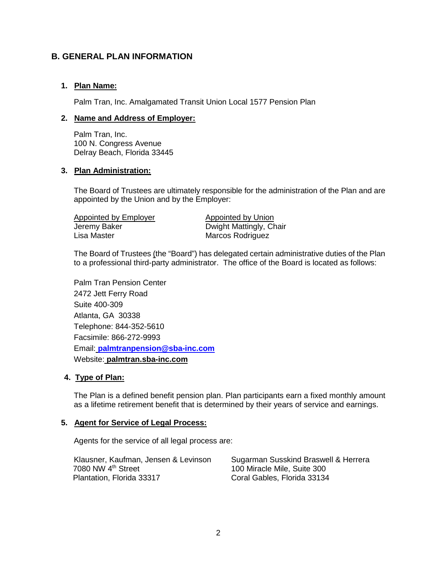# <span id="page-3-0"></span>**B. GENERAL PLAN INFORMATION**

# <span id="page-3-1"></span>**1. Plan Name:**

Palm Tran, Inc. Amalgamated Transit Union Local 1577 Pension Plan

### <span id="page-3-2"></span>**2. Name and Address of Employer:**

Palm Tran, Inc. 100 N. Congress Avenue Delray Beach, Florida 33445

# <span id="page-3-3"></span>**3. Plan Administration:**

The Board of Trustees are ultimately responsible for the administration of the Plan and are appointed by the Union and by the Employer:

Appointed by Employer Appointed by Union Jeremy Baker Dwight Mattingly, Chair

Marcos Rodriguez

The Board of Trustees (the "Board") has delegated certain administrative duties of the Plan to a professional third-party administrator. The office of the Board is located as follows:

Palm Tran Pension Center 2472 Jett Ferry Road Suite 400-309 Atlanta, GA 30338 Telephone: 844-352-5610 Facsimile: 866-272-9993 Email: **[palmtranpension@sba-inc.com](mailto:palmtranpension@sba-inc.com)** Website: **palmtran.sba-inc.com** 

#### <span id="page-3-4"></span>**4. Type of Plan:**

The Plan is a defined benefit pension plan. Plan participants earn a fixed monthly amount as a lifetime retirement benefit that is determined by their years of service and earnings.

#### <span id="page-3-5"></span>**5. Agent for Service of Legal Process:**

Agents for the service of all legal process are:

<span id="page-3-6"></span>Klausner, Kaufman, Jensen & Levinson Sugarman Susskind Braswell & Herrera<br>7080 NW 4<sup>th</sup> Street 61.100 Miracle Mile, Suite 300 7080 NW 4<sup>th</sup> Street 100 Miracle Mile, Suite 300<br>Plantation, Florida 33317 Coral Gables, Florida 33134

Coral Gables, Florida 33134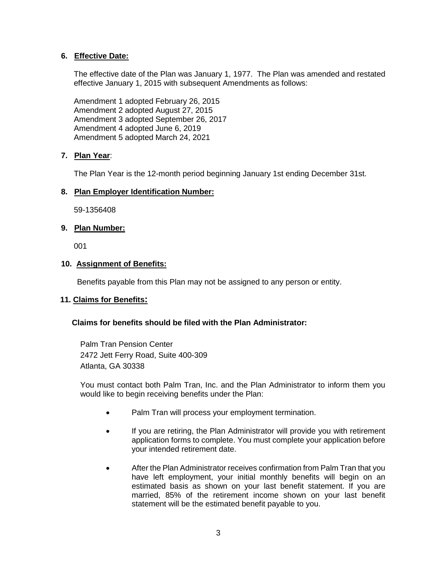# **6. Effective Date:**

The effective date of the Plan was January 1, 1977. The Plan was amended and restated effective January 1, 2015 with subsequent Amendments as follows:

Amendment 1 adopted February 26, 2015 Amendment 2 adopted August 27, 2015 Amendment 3 adopted September 26, 2017 Amendment 4 adopted June 6, 2019 Amendment 5 adopted March 24, 2021

# <span id="page-4-0"></span>**7. Plan Year**:

The Plan Year is the 12-month period beginning January 1st ending December 31st.

# <span id="page-4-1"></span>**8. Plan Employer Identification Number:**

59-1356408

# <span id="page-4-2"></span>**9. Plan Number:**

001

# <span id="page-4-3"></span>**10. Assignment of Benefits:**

Benefits payable from this Plan may not be assigned to any person or entity.

# <span id="page-4-4"></span> **11. Claims for Benefits:**

# **Claims for benefits should be filed with the Plan Administrator:**

Palm Tran Pension Center 2472 Jett Ferry Road, Suite 400-309 Atlanta, GA 30338

You must contact both Palm Tran, Inc. and the Plan Administrator to inform them you would like to begin receiving benefits under the Plan:

- Palm Tran will process your employment termination.
- If you are retiring, the Plan Administrator will provide you with retirement application forms to complete. You must complete your application before your intended retirement date.
- After the Plan Administrator receives confirmation from Palm Tran that you have left employment, your initial monthly benefits will begin on an estimated basis as shown on your last benefit statement. If you are married, 85% of the retirement income shown on your last benefit statement will be the estimated benefit payable to you.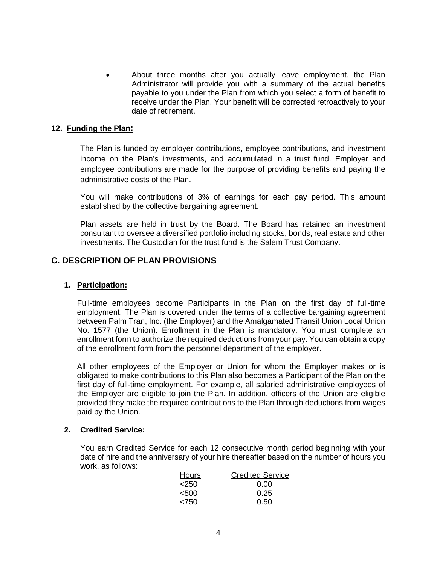• About three months after you actually leave employment, the Plan Administrator will provide you with a summary of the actual benefits payable to you under the Plan from which you select a form of benefit to receive under the Plan. Your benefit will be corrected retroactively to your date of retirement.

#### <span id="page-5-0"></span>**12. Funding the Plan:**

The Plan is funded by employer contributions, employee contributions, and investment income on the Plan's investments, and accumulated in a trust fund. Employer and employee contributions are made for the purpose of providing benefits and paying the administrative costs of the Plan.

You will make contributions of 3% of earnings for each pay period. This amount established by the collective bargaining agreement.

Plan assets are held in trust by the Board. The Board has retained an investment consultant to oversee a diversified portfolio including stocks, bonds, real estate and other investments. The Custodian for the trust fund is the Salem Trust Company.

# <span id="page-5-1"></span>**C. DESCRIPTION OF PLAN PROVISIONS**

### <span id="page-5-2"></span>**1. Participation:**

Full-time employees become Participants in the Plan on the first day of full-time employment. The Plan is covered under the terms of a collective bargaining agreement between Palm Tran, Inc. (the Employer) and the Amalgamated Transit Union Local Union No. 1577 (the Union). Enrollment in the Plan is mandatory. You must complete an enrollment form to authorize the required deductions from your pay. You can obtain a copy of the enrollment form from the personnel department of the employer.

All other employees of the Employer or Union for whom the Employer makes or is obligated to make contributions to this Plan also becomes a Participant of the Plan on the first day of full-time employment. For example, all salaried administrative employees of the Employer are eligible to join the Plan. In addition, officers of the Union are eligible provided they make the required contributions to the Plan through deductions from wages paid by the Union.

#### <span id="page-5-3"></span>**2. Credited Service:**

You earn Credited Service for each 12 consecutive month period beginning with your date of hire and the anniversary of your hire thereafter based on the number of hours you work, as follows:

| Hours   | <b>Credited Service</b> |
|---------|-------------------------|
| $<$ 250 | 0.00                    |
| < 500   | 0.25                    |
| < 750   | 0.50                    |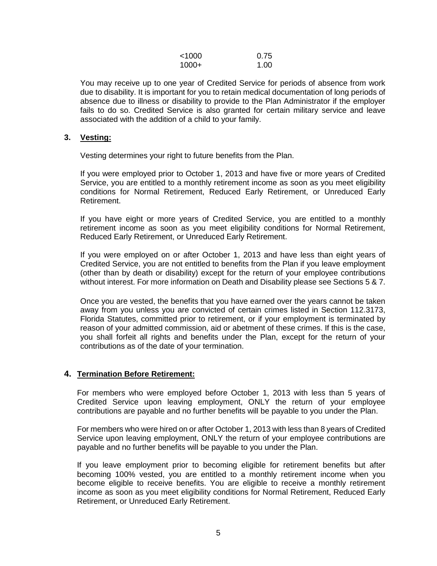| < 1000  | 0.75 |
|---------|------|
| $1000+$ | 1.00 |

You may receive up to one year of Credited Service for periods of absence from work due to disability. It is important for you to retain medical documentation of long periods of absence due to illness or disability to provide to the Plan Administrator if the employer fails to do so. Credited Service is also granted for certain military service and leave associated with the addition of a child to your family.

#### <span id="page-6-0"></span>**3. Vesting:**

Vesting determines your right to future benefits from the Plan.

If you were employed prior to October 1, 2013 and have five or more years of Credited Service, you are entitled to a monthly retirement income as soon as you meet eligibility conditions for Normal Retirement, Reduced Early Retirement, or Unreduced Early Retirement.

If you have eight or more years of Credited Service, you are entitled to a monthly retirement income as soon as you meet eligibility conditions for Normal Retirement, Reduced Early Retirement, or Unreduced Early Retirement.

If you were employed on or after October 1, 2013 and have less than eight years of Credited Service, you are not entitled to benefits from the Plan if you leave employment (other than by death or disability) except for the return of your employee contributions without interest. For more information on Death and Disability please see Sections 5 & 7.

Once you are vested, the benefits that you have earned over the years cannot be taken away from you unless you are convicted of certain crimes listed in Section 112.3173, Florida Statutes, committed prior to retirement, or if your employment is terminated by reason of your admitted commission, aid or abetment of these crimes. If this is the case, you shall forfeit all rights and benefits under the Plan, except for the return of your contributions as of the date of your termination.

#### <span id="page-6-1"></span>**4. Termination Before Retirement:**

For members who were employed before October 1, 2013 with less than 5 years of Credited Service upon leaving employment, ONLY the return of your employee contributions are payable and no further benefits will be payable to you under the Plan.

For members who were hired on or after October 1, 2013 with less than 8 years of Credited Service upon leaving employment, ONLY the return of your employee contributions are payable and no further benefits will be payable to you under the Plan.

If you leave employment prior to becoming eligible for retirement benefits but after becoming 100% vested, you are entitled to a monthly retirement income when you become eligible to receive benefits. You are eligible to receive a monthly retirement income as soon as you meet eligibility conditions for Normal Retirement, Reduced Early Retirement, or Unreduced Early Retirement.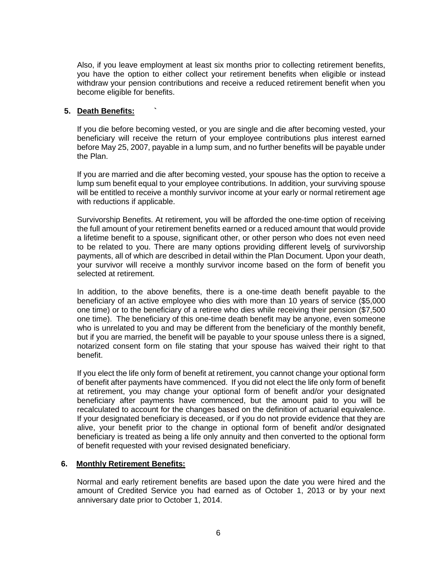Also, if you leave employment at least six months prior to collecting retirement benefits, you have the option to either collect your retirement benefits when eligible or instead withdraw your pension contributions and receive a reduced retirement benefit when you become eligible for benefits.

### <span id="page-7-0"></span>**5. Death Benefits: `**

If you die before becoming vested, or you are single and die after becoming vested, your beneficiary will receive the return of your employee contributions plus interest earned before May 25, 2007, payable in a lump sum, and no further benefits will be payable under the Plan.

If you are married and die after becoming vested, your spouse has the option to receive a lump sum benefit equal to your employee contributions. In addition, your surviving spouse will be entitled to receive a monthly survivor income at your early or normal retirement age with reductions if applicable.

Survivorship Benefits. At retirement, you will be afforded the one-time option of receiving the full amount of your retirement benefits earned or a reduced amount that would provide a lifetime benefit to a spouse, significant other, or other person who does not even need to be related to you. There are many options providing different levels of survivorship payments, all of which are described in detail within the Plan Document. Upon your death, your survivor will receive a monthly survivor income based on the form of benefit you selected at retirement.

In addition, to the above benefits, there is a one-time death benefit payable to the beneficiary of an active employee who dies with more than 10 years of service (\$5,000 one time) or to the beneficiary of a retiree who dies while receiving their pension (\$7,500 one time). The beneficiary of this one-time death benefit may be anyone, even someone who is unrelated to you and may be different from the beneficiary of the monthly benefit, but if you are married, the benefit will be payable to your spouse unless there is a signed, notarized consent form on file stating that your spouse has waived their right to that benefit.

If you elect the life only form of benefit at retirement, you cannot change your optional form of benefit after payments have commenced. If you did not elect the life only form of benefit at retirement, you may change your optional form of benefit and/or your designated beneficiary after payments have commenced, but the amount paid to you will be recalculated to account for the changes based on the definition of actuarial equivalence. If your designated beneficiary is deceased, or if you do not provide evidence that they are alive, your benefit prior to the change in optional form of benefit and/or designated beneficiary is treated as being a life only annuity and then converted to the optional form of benefit requested with your revised designated beneficiary.

#### <span id="page-7-1"></span>**6. Monthly Retirement Benefits:**

Normal and early retirement benefits are based upon the date you were hired and the amount of Credited Service you had earned as of October 1, 2013 or by your next anniversary date prior to October 1, 2014.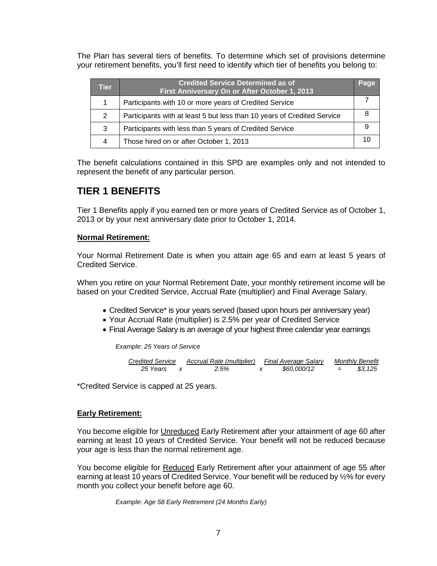The Plan has several tiers of benefits. To determine which set of provisions determine your retirement benefits, you'll first need to identify which tier of benefits you belong to:

| Tier | <b>Credited Service Determined as of</b><br>First Anniversary On or After October 1, 2013 | Page |
|------|-------------------------------------------------------------------------------------------|------|
|      | Participants with 10 or more years of Credited Service                                    |      |
| 2    | Participants with at least 5 but less than 10 years of Credited Service                   |      |
| 3    | Participants with less than 5 years of Credited Service                                   |      |
| 4    | Those hired on or after October 1, 2013                                                   |      |

The benefit calculations contained in this SPD are examples only and not intended to represent the benefit of any particular person.

# <span id="page-8-0"></span>**TIER 1 BENEFITS**

Tier 1 Benefits apply if you earned ten or more years of Credited Service as of October 1, 2013 or by your next anniversary date prior to October 1, 2014.

# **Normal Retirement:**

Your Normal Retirement Date is when you attain age 65 and earn at least 5 years of Credited Service.

When you retire on your Normal Retirement Date, your monthly retirement income will be based on your Credited Service, Accrual Rate (multiplier) and Final Average Salary.

- Credited Service\* is your years served (based upon hours per anniversary year)
- Your Accrual Rate (multiplier) is 2.5% per year of Credited Service
- Final Average Salary is an average of your highest three calendar year earnings

*Example: 25 Years of Service*

Credicted Service Accual Rate (multiplier) Final Average salary Monthly Benefit 25 Years 
$$
x =
$$
 2.5%  $x =$  \$60,000/12 = \$3,125

\*Credited Service is capped at 25 years.

#### **Early Retirement:**

You become eligible for Unreduced Early Retirement after your attainment of age 60 after earning at least 10 years of Credited Service. Your benefit will not be reduced because your age is less than the normal retirement age.

You become eligible for Reduced Early Retirement after your attainment of age 55 after earning at least 10 years of Credited Service. Your benefit will be reduced by ½% for every month you collect your benefit before age 60.

*Example: Age 58 Early Retirement (24 Months Early)*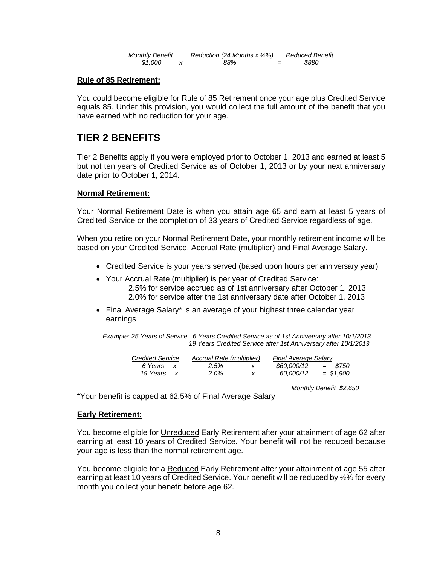| <b>Monthly Benefit</b> | Reduction (24 Months x $\frac{1}{2}\%$ ) |                          | <b>Reduced Benefit</b> |
|------------------------|------------------------------------------|--------------------------|------------------------|
| \$1,000                | 88%                                      | $\overline{\phantom{0}}$ | \$880                  |

#### **Rule of 85 Retirement:**

You could become eligible for Rule of 85 Retirement once your age plus Credited Service equals 85. Under this provision, you would collect the full amount of the benefit that you have earned with no reduction for your age.

# <span id="page-9-0"></span>**TIER 2 BENEFITS**

Tier 2 Benefits apply if you were employed prior to October 1, 2013 and earned at least 5 but not ten years of Credited Service as of October 1, 2013 or by your next anniversary date prior to October 1, 2014.

#### **Normal Retirement:**

Your Normal Retirement Date is when you attain age 65 and earn at least 5 years of Credited Service or the completion of 33 years of Credited Service regardless of age.

When you retire on your Normal Retirement Date, your monthly retirement income will be based on your Credited Service, Accrual Rate (multiplier) and Final Average Salary.

- Credited Service is your years served (based upon hours per anniversary year)
- Your Accrual Rate (multiplier) is per year of Credited Service: 2.5% for service accrued as of 1st anniversary after October 1, 2013 2.0% for service after the 1st anniversary date after October 1, 2013
- Final Average Salary\* is an average of your highest three calendar year earnings

*Example: 25 Years of Service 6 Years Credited Service as of 1st Anniversary after 10/1/2013 19 Years Credited Service after 1st Anniversary after 10/1/2013*

| <b>Credited Service</b> |              | Accrual Rate (multiplier) |   | <b>Final Average Salary</b> |             |  |  |
|-------------------------|--------------|---------------------------|---|-----------------------------|-------------|--|--|
| 6 Years                 | $\mathbf{x}$ | 2.5%                      |   | \$60.000/12                 | $=$ \$750   |  |  |
| 19 Years                | $\mathbf{x}$ | $2.0\%$                   | x | 60.000/12                   | $=$ \$1.900 |  |  |

 *Monthly Benefit \$2,650*

\*Your benefit is capped at 62.5% of Final Average Salary

#### **Early Retirement:**

You become eligible for Unreduced Early Retirement after your attainment of age 62 after earning at least 10 years of Credited Service. Your benefit will not be reduced because your age is less than the normal retirement age.

You become eligible for a Reduced Early Retirement after your attainment of age 55 after earning at least 10 years of Credited Service. Your benefit will be reduced by ½% for every month you collect your benefit before age 62.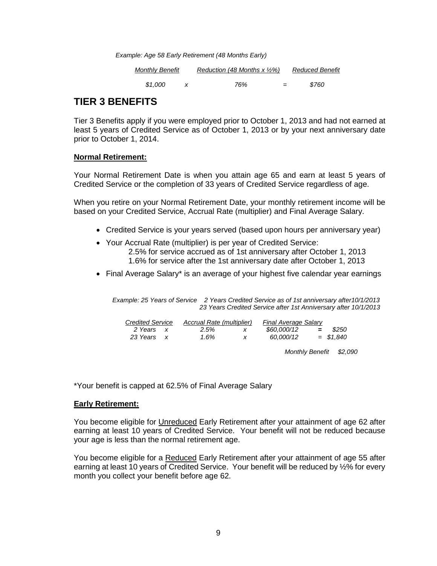| Example: Age 58 Early Retirement (48 Months Early) |  |  |
|----------------------------------------------------|--|--|
|----------------------------------------------------|--|--|

| Monthly Benefit | Reduction (48 Months x $\frac{1}{2}\%$ ) |     | <b>Reduced Benefit</b> |
|-----------------|------------------------------------------|-----|------------------------|
| \$1.000         | 76%                                      | $=$ | \$760                  |

# <span id="page-10-0"></span>**TIER 3 BENEFITS**

Tier 3 Benefits apply if you were employed prior to October 1, 2013 and had not earned at least 5 years of Credited Service as of October 1, 2013 or by your next anniversary date prior to October 1, 2014.

#### **Normal Retirement:**

Your Normal Retirement Date is when you attain age 65 and earn at least 5 years of Credited Service or the completion of 33 years of Credited Service regardless of age.

When you retire on your Normal Retirement Date, your monthly retirement income will be based on your Credited Service, Accrual Rate (multiplier) and Final Average Salary.

- Credited Service is your years served (based upon hours per anniversary year)
- Your Accrual Rate (multiplier) is per year of Credited Service:
	- 2.5% for service accrued as of 1st anniversary after October 1, 2013 1.6% for service after the 1st anniversary date after October 1, 2013
- Final Average Salary\* is an average of your highest five calendar year earnings

*Example: 25 Years of Service 2 Years Credited Service as of 1st anniversary after10/1/2013 23 Years Credited Service after 1st Anniversary after 10/1/2013*

| <b>Credited Service</b> | Accrual Rate (multiplier) | <b>Final Average Salary</b> |     |             |
|-------------------------|---------------------------|-----------------------------|-----|-------------|
| 2 Years                 | 2.5%                      | \$60,000/12                 | $=$ | \$250       |
| 23 Years                | 1.6%                      | 60.000/12                   |     | $=$ \$1.840 |

 *Monthly Benefit \$2,090*

\*Your benefit is capped at 62.5% of Final Average Salary

# **Early Retirement:**

You become eligible for Unreduced Early Retirement after your attainment of age 62 after earning at least 10 years of Credited Service. Your benefit will not be reduced because your age is less than the normal retirement age.

You become eligible for a Reduced Early Retirement after your attainment of age 55 after earning at least 10 years of Credited Service. Your benefit will be reduced by ½% for every month you collect your benefit before age 62.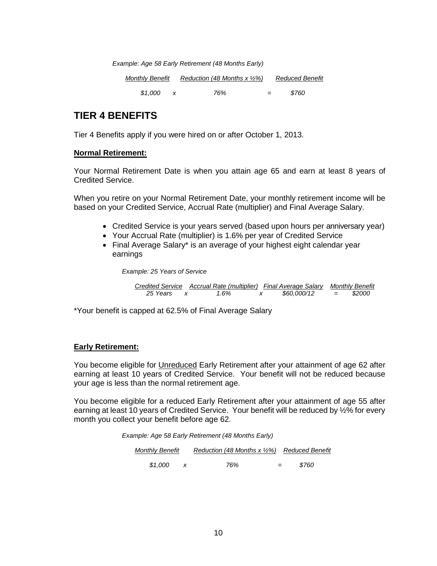*Example: Age 58 Early Retirement (48 Months Early)*

*Monthly Benefit Reduction (48 Months x ½%) Reduced Benefit*

 *\$1,000 x 76% = \$760* 

# <span id="page-11-0"></span>**TIER 4 BENEFITS**

Tier 4 Benefits apply if you were hired on or after October 1, 2013.

#### **Normal Retirement:**

Your Normal Retirement Date is when you attain age 65 and earn at least 8 years of Credited Service.

When you retire on your Normal Retirement Date, your monthly retirement income will be based on your Credited Service, Accrual Rate (multiplier) and Final Average Salary.

- Credited Service is your years served (based upon hours per anniversary year)
- Your Accrual Rate (multiplier) is 1.6% per year of Credited Service
- Final Average Salary\* is an average of your highest eight calendar year earnings

*Example: 25 Years of Service*

| Credited Service Accrual Rate (multiplier) Final Average Salary Monthly Benefit |      |  |             |     |        |
|---------------------------------------------------------------------------------|------|--|-------------|-----|--------|
| 25 Years                                                                        | 1.6% |  | \$60,000/12 | $=$ | \$2000 |

\*Your benefit is capped at 62.5% of Final Average Salary

#### **Early Retirement:**

You become eligible for Unreduced Early Retirement after your attainment of age 62 after earning at least 10 years of Credited Service. Your benefit will not be reduced because your age is less than the normal retirement age.

You become eligible for a reduced Early Retirement after your attainment of age 55 after earning at least 10 years of Credited Service. Your benefit will be reduced by ½% for every month you collect your benefit before age 62.

*Example: Age 58 Early Retirement (48 Months Early)*

| <b>Monthly Benefit</b> | Reduction (48 Months x 1/2%) Reduced Benefit |     |       |
|------------------------|----------------------------------------------|-----|-------|
| \$1.000                | 76%                                          | $=$ | \$760 |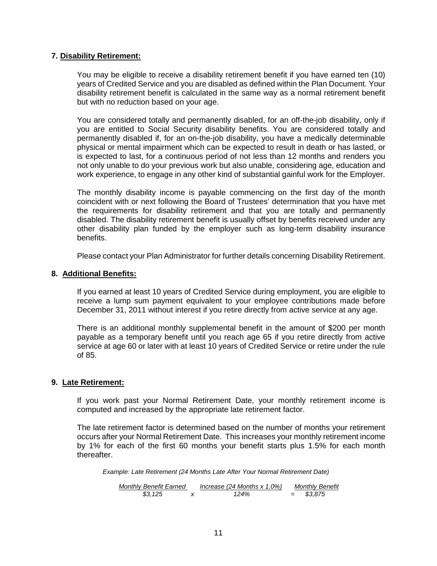#### <span id="page-12-0"></span>**7. Disability Retirement:**

You may be eligible to receive a disability retirement benefit if you have earned ten (10) years of Credited Service and you are disabled as defined within the Plan Document. Your disability retirement benefit is calculated in the same way as a normal retirement benefit but with no reduction based on your age.

You are considered totally and permanently disabled, for an off-the-job disability, only if you are entitled to Social Security disability benefits. You are considered totally and permanently disabled if, for an on-the-job disability, you have a medically determinable physical or mental impairment which can be expected to result in death or has lasted, or is expected to last, for a continuous period of not less than 12 months and renders you not only unable to do your previous work but also unable, considering age, education and work experience, to engage in any other kind of substantial gainful work for the Employer.

The monthly disability income is payable commencing on the first day of the month coincident with or next following the Board of Trustees' determination that you have met the requirements for disability retirement and that you are totally and permanently disabled. The disability retirement benefit is usually offset by benefits received under any other disability plan funded by the employer such as long-term disability insurance benefits.

Please contact your Plan Administrator for further details concerning Disability Retirement.

#### <span id="page-12-1"></span>**8. Additional Benefits:**

If you earned at least 10 years of Credited Service during employment, you are eligible to receive a lump sum payment equivalent to your employee contributions made before December 31, 2011 without interest if you retire directly from active service at any age.

There is an additional monthly supplemental benefit in the amount of \$200 per month payable as a temporary benefit until you reach age 65 if you retire directly from active service at age 60 or later with at least 10 years of Credited Service or retire under the rule of 85.

#### <span id="page-12-2"></span>**9. Late Retirement:**

If you work past your Normal Retirement Date, your monthly retirement income is computed and increased by the appropriate late retirement factor.

The late retirement factor is determined based on the number of months your retirement occurs after your Normal Retirement Date. This increases your monthly retirement income by 1% for each of the first 60 months your benefit starts plus 1.5% for each month thereafter.

*Example: Late Retirement (24 Months Late After Your Normal Retirement Date)*

<span id="page-12-3"></span>*Monthly Benefit Earned Increase (24 Months x 1.0%) Monthly Benefit \$3,125 x 124% = \$3,875*